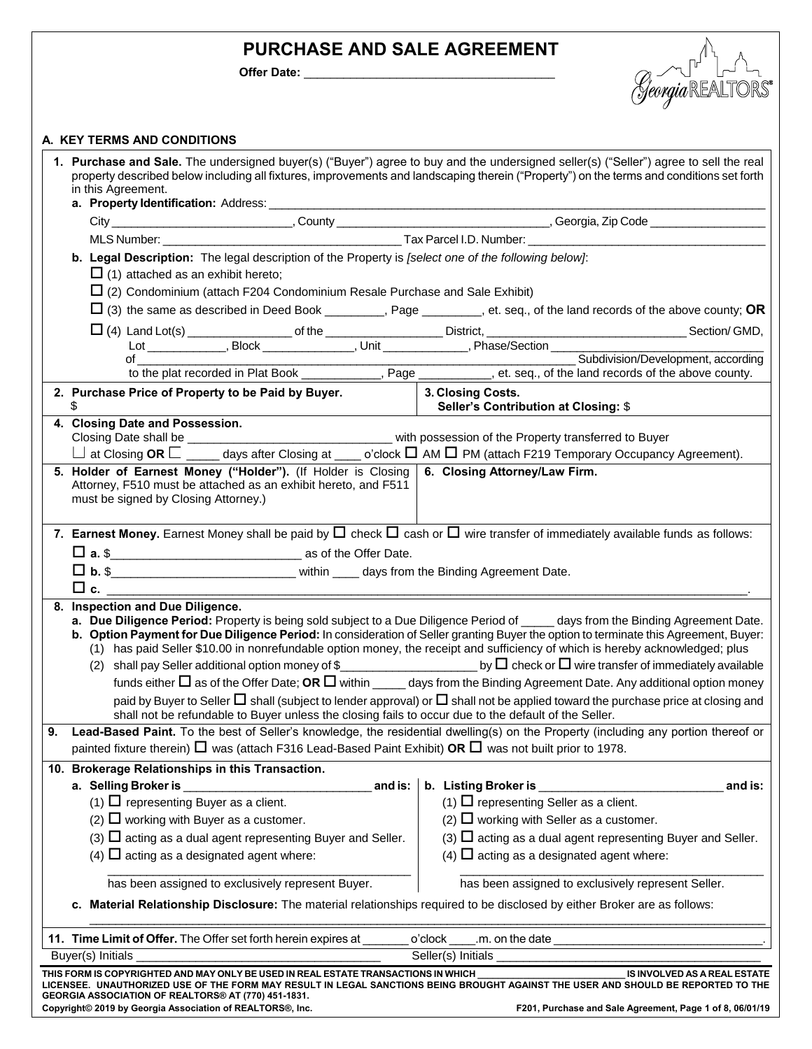# **PURCHASE AND SALE AGREEMENT**

Offer Date: \_\_\_\_



# **A. KEY TERMS AND CONDITIONS**

|    | 1. Purchase and Sale. The undersigned buyer(s) ("Buyer") agree to buy and the undersigned seller(s) ("Seller") agree to sell the real            |                                                                                                                                                                                                                                                                      |
|----|--------------------------------------------------------------------------------------------------------------------------------------------------|----------------------------------------------------------------------------------------------------------------------------------------------------------------------------------------------------------------------------------------------------------------------|
|    | in this Agreement.                                                                                                                               | property described below including all fixtures, improvements and landscaping therein ("Property") on the terms and conditions set forth                                                                                                                             |
|    |                                                                                                                                                  |                                                                                                                                                                                                                                                                      |
|    |                                                                                                                                                  |                                                                                                                                                                                                                                                                      |
|    |                                                                                                                                                  |                                                                                                                                                                                                                                                                      |
|    | b. Legal Description: The legal description of the Property is [select one of the following below]:<br>$\Box$ (1) attached as an exhibit hereto; |                                                                                                                                                                                                                                                                      |
|    | $\Box$ (2) Condominium (attach F204 Condominium Resale Purchase and Sale Exhibit)                                                                |                                                                                                                                                                                                                                                                      |
|    |                                                                                                                                                  | $\Box$ (3) the same as described in Deed Book ________, Page ______, et. seq., of the land records of the above county; OR                                                                                                                                           |
|    |                                                                                                                                                  |                                                                                                                                                                                                                                                                      |
|    |                                                                                                                                                  |                                                                                                                                                                                                                                                                      |
|    | of                                                                                                                                               | Subdivision/Development, according<br>of Subdivision/Development, accordir<br>to the plat recorded in Plat Book ___________, Page _________, et. seq., of the land records of the above county.                                                                      |
|    | 2. Purchase Price of Property to be Paid by Buyer.                                                                                               | 3. Closing Costs.                                                                                                                                                                                                                                                    |
|    | \$                                                                                                                                               | Seller's Contribution at Closing: \$                                                                                                                                                                                                                                 |
|    | 4. Closing Date and Possession.                                                                                                                  |                                                                                                                                                                                                                                                                      |
|    | $\perp$ at Closing OR $\perp$ _____ days after Closing at ____ o'clock $\Box$ AM $\Box$ PM (attach F219 Temporary Occupancy Agreement).          |                                                                                                                                                                                                                                                                      |
|    | 5. Holder of Earnest Money ("Holder"). (If Holder is Closing 6. Closing Attorney/Law Firm.                                                       |                                                                                                                                                                                                                                                                      |
|    | Attorney, F510 must be attached as an exhibit hereto, and F511<br>must be signed by Closing Attorney.)                                           |                                                                                                                                                                                                                                                                      |
|    | 7. Earnest Money. Earnest Money shall be paid by $\Box$ check $\Box$ cash or $\Box$ wire transfer of immediately available funds as follows:     |                                                                                                                                                                                                                                                                      |
|    | $\Box$ a. \$                                                                                                                                     |                                                                                                                                                                                                                                                                      |
|    |                                                                                                                                                  |                                                                                                                                                                                                                                                                      |
|    | $\Box$ c.                                                                                                                                        |                                                                                                                                                                                                                                                                      |
|    | 8. Inspection and Due Diligence.                                                                                                                 |                                                                                                                                                                                                                                                                      |
|    | a. Due Diligence Period: Property is being sold subject to a Due Diligence Period of ____ days from the Binding Agreement Date.                  | b. Option Payment for Due Diligence Period: In consideration of Seller granting Buyer the option to terminate this Agreement, Buyer:<br>(1) has paid Seller \$10.00 in nonrefundable option money, the receipt and sufficiency of which is hereby acknowledged; plus |
|    |                                                                                                                                                  |                                                                                                                                                                                                                                                                      |
|    |                                                                                                                                                  | funds either $\Box$ as of the Offer Date; OR $\Box$ within ______ days from the Binding Agreement Date. Any additional option money                                                                                                                                  |
|    | shall not be refundable to Buyer unless the closing fails to occur due to the default of the Seller.                                             | paid by Buyer to Seller $\Box$ shall (subject to lender approval) or $\Box$ shall not be applied toward the purchase price at closing and                                                                                                                            |
| 9. | painted fixture therein) $\Box$ was (attach F316 Lead-Based Paint Exhibit) OR $\Box$ was not built prior to 1978.                                | Lead-Based Paint. To the best of Seller's knowledge, the residential dwelling(s) on the Property (including any portion thereof or                                                                                                                                   |
|    | 10. Brokerage Relationships in this Transaction.                                                                                                 |                                                                                                                                                                                                                                                                      |
|    | a. Selling Broker is __<br>and is:                                                                                                               | b. Listing Broker is _<br>and is:                                                                                                                                                                                                                                    |
|    | (1) $\Box$ representing Buyer as a client.                                                                                                       | (1) $\Box$ representing Seller as a client.                                                                                                                                                                                                                          |
|    | (2) $\Box$ working with Buyer as a customer.                                                                                                     | $(2)$ $\Box$ working with Seller as a customer.                                                                                                                                                                                                                      |
|    | (3) $\Box$ acting as a dual agent representing Buyer and Seller.                                                                                 | (3) $\Box$ acting as a dual agent representing Buyer and Seller.                                                                                                                                                                                                     |
|    | (4) $\Box$ acting as a designated agent where:                                                                                                   | (4) $\Box$ acting as a designated agent where:                                                                                                                                                                                                                       |
|    | has been assigned to exclusively represent Buyer.                                                                                                | has been assigned to exclusively represent Seller.                                                                                                                                                                                                                   |
|    | c. Material Relationship Disclosure: The material relationships required to be disclosed by either Broker are as follows:                        |                                                                                                                                                                                                                                                                      |
|    | 11. Time Limit of Offer. The Offer set forth herein expires at                                                                                   | .m. on the date _<br>o'clock                                                                                                                                                                                                                                         |
|    | Buyer(s) Initials                                                                                                                                | Seller(s) Initials                                                                                                                                                                                                                                                   |
|    | THIS FORM IS COPYRIGHTED AND MAY ONLY BE USED IN REAL ESTATE TRANSACTIONS IN WHICH                                                               | IS INVOLVED AS A REAL ESTATE<br>LICENSEE. UNAUTHORIZED USE OF THE FORM MAY RESULT IN LEGAL SANCTIONS BEING BROUGHT AGAINST THE USER AND SHOULD BE REPORTED TO THE                                                                                                    |
|    | GEORGIA ASSOCIATION OF REALTORS® AT (770) 451-1831.<br>Copyright© 2019 by Georgia Association of REALTORS®, Inc.                                 | F201, Purchase and Sale Agreement, Page 1 of 8, 06/01/19                                                                                                                                                                                                             |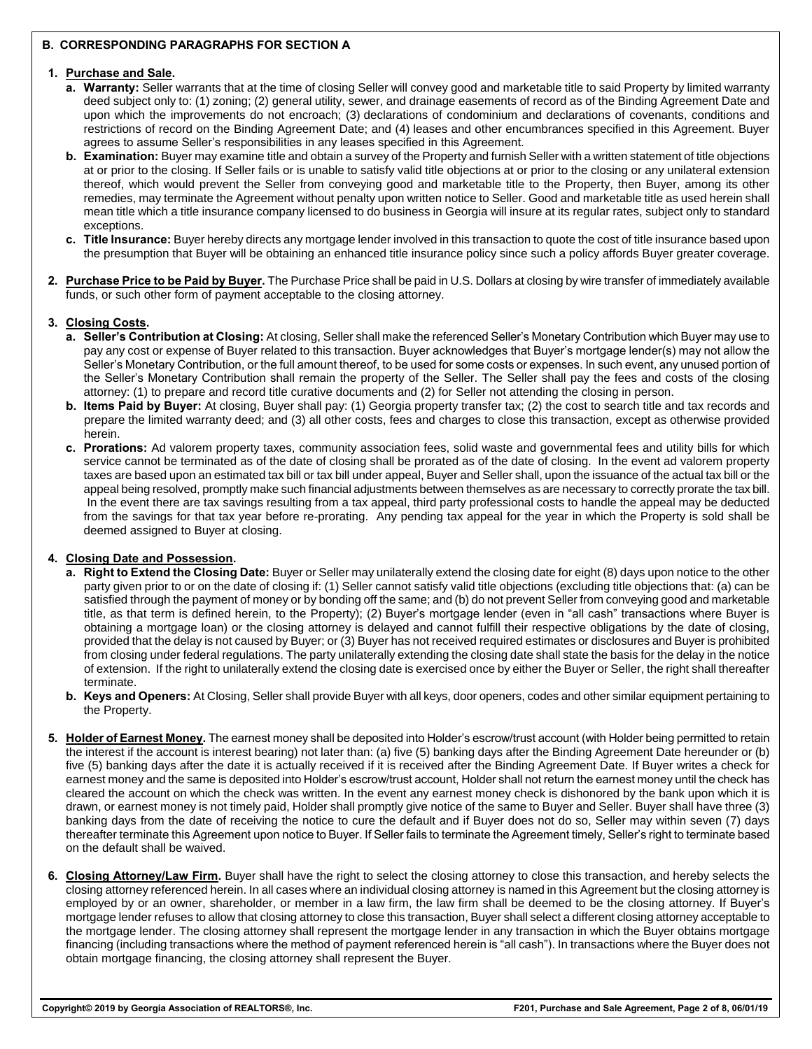## **B. CORRESPONDING PARAGRAPHS FOR SECTION A**

#### **1. Purchase and Sale.**

- **a. Warranty:** Seller warrants that at the time of closing Seller will convey good and marketable title to said Property by limited warranty deed subject only to: (1) zoning; (2) general utility, sewer, and drainage easements of record as of the Binding Agreement Date and upon which the improvements do not encroach; (3) declarations of condominium and declarations of covenants, conditions and restrictions of record on the Binding Agreement Date; and (4) leases and other encumbrances specified in this Agreement. Buyer agrees to assume Seller's responsibilities in any leases specified in this Agreement.
- **b. Examination:** Buyer may examine title and obtain a survey of the Property and furnish Seller with a written statement of title objections at or prior to the closing. If Seller fails or is unable to satisfy valid title objections at or prior to the closing or any unilateral extension thereof, which would prevent the Seller from conveying good and marketable title to the Property, then Buyer, among its other remedies, may terminate the Agreement without penalty upon written notice to Seller. Good and marketable title as used herein shall mean title which a title insurance company licensed to do business in Georgia will insure at its regular rates, subject only to standard exceptions.
- **c. Title Insurance:** Buyer hereby directs any mortgage lender involved in this transaction to quote the cost of title insurance based upon the presumption that Buyer will be obtaining an enhanced title insurance policy since such a policy affords Buyer greater coverage.
- **2. Purchase Price to be Paid by Buyer.** The Purchase Price shall be paid in U.S. Dollars at closing by wire transfer of immediately available funds, or such other form of payment acceptable to the closing attorney.

### **3. Closing Costs.**

- **a. Seller's Contribution at Closing:** At closing, Seller shall make the referenced Seller's Monetary Contribution which Buyer may use to pay any cost or expense of Buyer related to this transaction. Buyer acknowledges that Buyer's mortgage lender(s) may not allow the Seller's Monetary Contribution, or the full amount thereof, to be used for some costs or expenses. In such event, any unused portion of the Seller's Monetary Contribution shall remain the property of the Seller. The Seller shall pay the fees and costs of the closing attorney: (1) to prepare and record title curative documents and (2) for Seller not attending the closing in person.
- **b. Items Paid by Buyer:** At closing, Buyer shall pay: (1) Georgia property transfer tax; (2) the cost to search title and tax records and prepare the limited warranty deed; and (3) all other costs, fees and charges to close this transaction, except as otherwise provided herein.
- **c. Prorations:** Ad valorem property taxes, community association fees, solid waste and governmental fees and utility bills for which service cannot be terminated as of the date of closing shall be prorated as of the date of closing. In the event ad valorem property taxes are based upon an estimated tax bill or tax bill under appeal, Buyer and Seller shall, upon the issuance of the actual tax bill or the appeal being resolved, promptly make such financial adjustments between themselves as are necessary to correctly prorate the tax bill. In the event there are tax savings resulting from a tax appeal, third party professional costs to handle the appeal may be deducted from the savings for that tax year before re-prorating. Any pending tax appeal for the year in which the Property is sold shall be deemed assigned to Buyer at closing.

### **4. Closing Date and Possession.**

- **a. Right to Extend the Closing Date:** Buyer or Seller may unilaterally extend the closing date for eight (8) days upon notice to the other party given prior to or on the date of closing if: (1) Seller cannot satisfy valid title objections (excluding title objections that: (a) can be satisfied through the payment of money or by bonding off the same; and (b) do not prevent Seller from conveying good and marketable title, as that term is defined herein, to the Property); (2) Buyer's mortgage lender (even in "all cash" transactions where Buyer is obtaining a mortgage loan) or the closing attorney is delayed and cannot fulfill their respective obligations by the date of closing, provided that the delay is not caused by Buyer; or (3) Buyer has not received required estimates or disclosures and Buyer is prohibited from closing under federal regulations. The party unilaterally extending the closing date shall state the basis for the delay in the notice of extension. If the right to unilaterally extend the closing date is exercised once by either the Buyer or Seller, the right shall thereafter terminate.
- **b. Keys and Openers:** At Closing, Seller shall provide Buyer with all keys, door openers, codes and other similar equipment pertaining to the Property.
- **5. Holder of Earnest Money.** The earnest money shall be deposited into Holder's escrow/trust account (with Holder being permitted to retain the interest if the account is interest bearing) not later than: (a) five (5) banking days after the Binding Agreement Date hereunder or (b) five (5) banking days after the date it is actually received if it is received after the Binding Agreement Date. If Buyer writes a check for earnest money and the same is deposited into Holder's escrow/trust account, Holder shall not return the earnest money until the check has cleared the account on which the check was written. In the event any earnest money check is dishonored by the bank upon which it is drawn, or earnest money is not timely paid, Holder shall promptly give notice of the same to Buyer and Seller. Buyer shall have three (3) banking days from the date of receiving the notice to cure the default and if Buyer does not do so, Seller may within seven (7) days thereafter terminate this Agreement upon notice to Buyer. If Seller fails to terminate the Agreement timely, Seller's right to terminate based on the default shall be waived.
- **6. Closing Attorney/Law Firm.** Buyer shall have the right to select the closing attorney to close this transaction, and hereby selects the closing attorney referenced herein. In all cases where an individual closing attorney is named in this Agreement but the closing attorney is employed by or an owner, shareholder, or member in a law firm, the law firm shall be deemed to be the closing attorney. If Buyer's mortgage lender refuses to allow that closing attorney to close this transaction, Buyer shall select a different closing attorney acceptable to the mortgage lender. The closing attorney shall represent the mortgage lender in any transaction in which the Buyer obtains mortgage financing (including transactions where the method of payment referenced herein is "all cash"). In transactions where the Buyer does not obtain mortgage financing, the closing attorney shall represent the Buyer.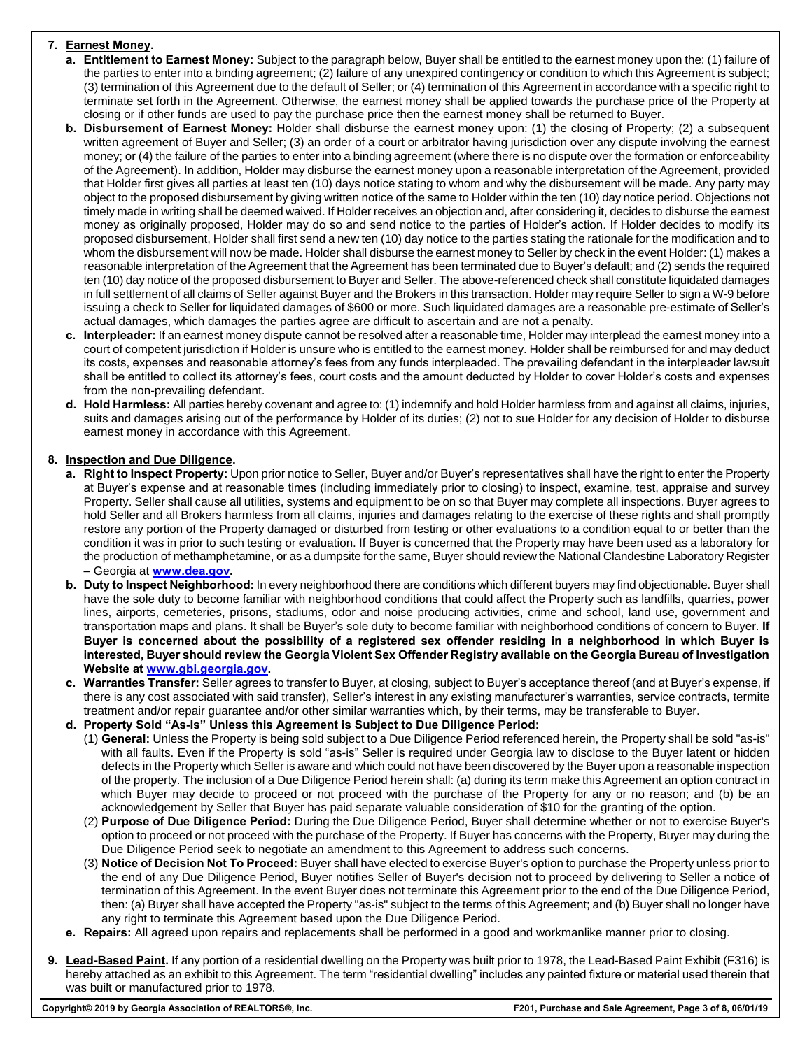# **7. Earnest Money.**

- **a. Entitlement to Earnest Money:** Subject to the paragraph below, Buyer shall be entitled to the earnest money upon the: (1) failure of the parties to enter into a binding agreement; (2) failure of any unexpired contingency or condition to which this Agreement is subject; (3) termination of this Agreement due to the default of Seller; or (4) termination of this Agreement in accordance with a specific right to terminate set forth in the Agreement. Otherwise, the earnest money shall be applied towards the purchase price of the Property at closing or if other funds are used to pay the purchase price then the earnest money shall be returned to Buyer.
- **b. Disbursement of Earnest Money:** Holder shall disburse the earnest money upon: (1) the closing of Property; (2) a subsequent written agreement of Buyer and Seller; (3) an order of a court or arbitrator having jurisdiction over any dispute involving the earnest money; or (4) the failure of the parties to enter into a binding agreement (where there is no dispute over the formation or enforceability of the Agreement). In addition, Holder may disburse the earnest money upon a reasonable interpretation of the Agreement, provided that Holder first gives all parties at least ten (10) days notice stating to whom and why the disbursement will be made. Any party may object to the proposed disbursement by giving written notice of the same to Holder within the ten (10) day notice period. Objections not timely made in writing shall be deemed waived. If Holder receives an objection and, after considering it, decides to disburse the earnest money as originally proposed, Holder may do so and send notice to the parties of Holder's action. If Holder decides to modify its proposed disbursement, Holder shall first send a new ten (10) day notice to the parties stating the rationale for the modification and to whom the disbursement will now be made. Holder shall disburse the earnest money to Seller by check in the event Holder: (1) makes a reasonable interpretation of the Agreement that the Agreement has been terminated due to Buyer's default; and (2) sends the required ten (10) day notice of the proposed disbursement to Buyer and Seller. The above-referenced check shall constitute liquidated damages in full settlement of all claims of Seller against Buyer and the Brokers in this transaction. Holder may require Seller to sign a W-9 before issuing a check to Seller for liquidated damages of \$600 or more. Such liquidated damages are a reasonable pre-estimate of Seller's actual damages, which damages the parties agree are difficult to ascertain and are not a penalty.
- **c. Interpleader:** If an earnest money dispute cannot be resolved after a reasonable time, Holder may interplead the earnest money into a court of competent jurisdiction if Holder is unsure who is entitled to the earnest money. Holder shall be reimbursed for and may deduct its costs, expenses and reasonable attorney's fees from any funds interpleaded. The prevailing defendant in the interpleader lawsuit shall be entitled to collect its attorney's fees, court costs and the amount deducted by Holder to cover Holder's costs and expenses from the non-prevailing defendant.
- **d. Hold Harmless:** All parties hereby covenant and agree to: (1) indemnify and hold Holder harmless from and against all claims, injuries, suits and damages arising out of the performance by Holder of its duties; (2) not to sue Holder for any decision of Holder to disburse earnest money in accordance with this Agreement.

# **8. Inspection and Due Diligence.**

- **a. Right to Inspect Property:** Upon prior notice to Seller, Buyer and/or Buyer's representatives shall have the right to enter the Property at Buyer's expense and at reasonable times (including immediately prior to closing) to inspect, examine, test, appraise and survey Property. Seller shall cause all utilities, systems and equipment to be on so that Buyer may complete all inspections. Buyer agrees to hold Seller and all Brokers harmless from all claims, injuries and damages relating to the exercise of these rights and shall promptly restore any portion of the Property damaged or disturbed from testing or other evaluations to a condition equal to or better than the condition it was in prior to such testing or evaluation. If Buyer is concerned that the Property may have been used as a laboratory for the production of methamphetamine, or as a dumpsite for the same, Buyer should review the National Clandestine Laboratory Register – Georgia at **www.dea.gov.**
- **b. Duty to Inspect Neighborhood:** In every neighborhood there are conditions which different buyers may find objectionable. Buyer shall have the sole duty to become familiar with neighborhood conditions that could affect the Property such as landfills, quarries, power lines, airports, cemeteries, prisons, stadiums, odor and noise producing activities, crime and school, land use, government and transportation maps and plans. It shall be Buyer's sole duty to become familiar with neighborhood conditions of concern to Buyer. **If Buyer is concerned about the possibility of a registered sex offender residing in a neighborhood in which Buyer is interested, Buyer should review the Georgia Violent Sex Offender Registry available on the Georgia Bureau of Investigation Website at www.gbi.georgia.gov.**
- **c. Warranties Transfer:** Seller agrees to transfer to Buyer, at closing, subject to Buyer's acceptance thereof (and at Buyer's expense, if there is any cost associated with said transfer), Seller's interest in any existing manufacturer's warranties, service contracts, termite treatment and/or repair guarantee and/or other similar warranties which, by their terms, may be transferable to Buyer.
- **d. Property Sold "As-Is" Unless this Agreement is Subject to Due Diligence Period:**
	- (1) **General:** Unless the Property is being sold subject to a Due Diligence Period referenced herein, the Property shall be sold "as-is" with all faults. Even if the Property is sold "as-is" Seller is required under Georgia law to disclose to the Buyer latent or hidden defects in the Property which Seller is aware and which could not have been discovered by the Buyer upon a reasonable inspection of the property. The inclusion of a Due Diligence Period herein shall: (a) during its term make this Agreement an option contract in which Buyer may decide to proceed or not proceed with the purchase of the Property for any or no reason; and (b) be an acknowledgement by Seller that Buyer has paid separate valuable consideration of \$10 for the granting of the option.
	- (2) **Purpose of Due Diligence Period:** During the Due Diligence Period, Buyer shall determine whether or not to exercise Buyer's option to proceed or not proceed with the purchase of the Property. If Buyer has concerns with the Property, Buyer may during the Due Diligence Period seek to negotiate an amendment to this Agreement to address such concerns.
	- (3) **Notice of Decision Not To Proceed:** Buyer shall have elected to exercise Buyer's option to purchase the Property unless prior to the end of any Due Diligence Period, Buyer notifies Seller of Buyer's decision not to proceed by delivering to Seller a notice of termination of this Agreement. In the event Buyer does not terminate this Agreement prior to the end of the Due Diligence Period, then: (a) Buyer shall have accepted the Property "as-is" subject to the terms of this Agreement; and (b) Buyer shall no longer have any right to terminate this Agreement based upon the Due Diligence Period.
- **e. Repairs:** All agreed upon repairs and replacements shall be performed in a good and workmanlike manner prior to closing.
- **9. Lead-Based Paint.** If any portion of a residential dwelling on the Property was built prior to 1978, the Lead-Based Paint Exhibit (F316) is hereby attached as an exhibit to this Agreement. The term "residential dwelling" includes any painted fixture or material used therein that was built or manufactured prior to 1978.

**Copyright© 2019 by Georgia Association of REALTORS®, Inc. F201, Purchase and Sale Agreement, Page 3 of 8, 06/01/19**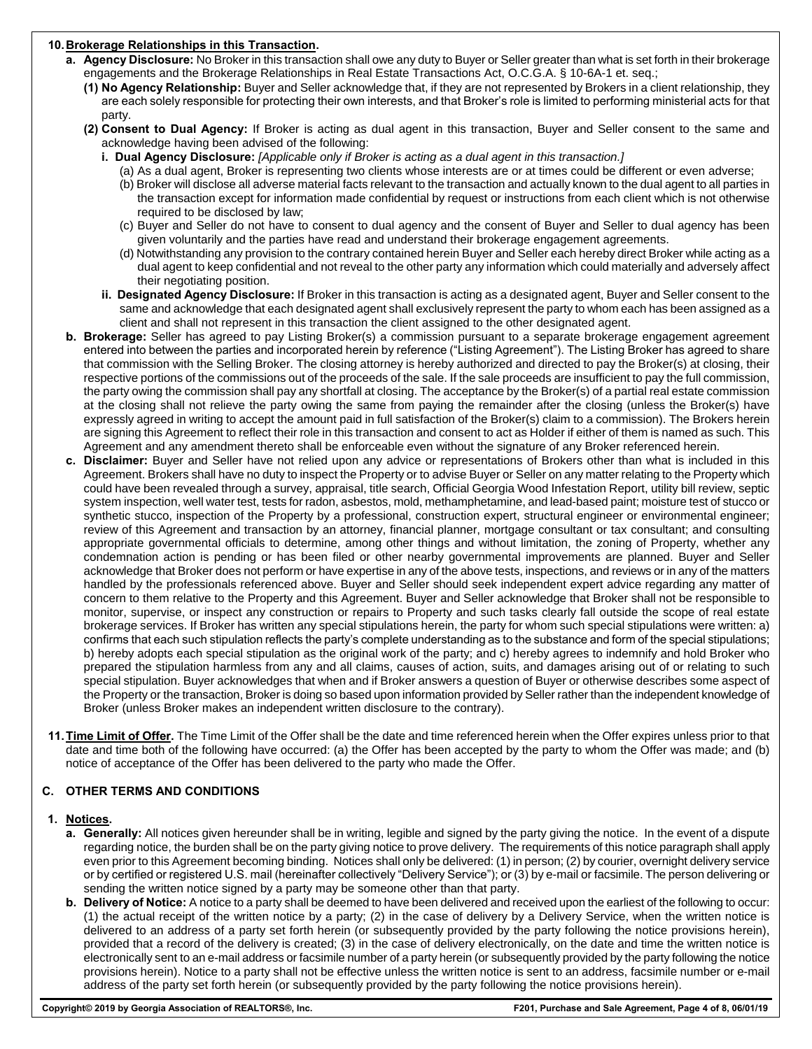### **10.Brokerage Relationships in this Transaction.**

- **a. Agency Disclosure:** No Broker in this transaction shall owe any duty to Buyer or Seller greater than what is set forth in their brokerage engagements and the Brokerage Relationships in Real Estate Transactions Act, O.C.G.A. § 10-6A-1 et. seq.;
	- **(1) No Agency Relationship:** Buyer and Seller acknowledge that, if they are not represented by Brokers in a client relationship, they are each solely responsible for protecting their own interests, and that Broker's role is limited to performing ministerial acts for that party.
	- **(2) Consent to Dual Agency:** If Broker is acting as dual agent in this transaction, Buyer and Seller consent to the same and acknowledge having been advised of the following:
		- **i. Dual Agency Disclosure:** *[Applicable only if Broker is acting as a dual agent in this transaction.]* 
			- (a) As a dual agent, Broker is representing two clients whose interests are or at times could be different or even adverse;
				- (b) Broker will disclose all adverse material facts relevant to the transaction and actually known to the dual agent to all parties in the transaction except for information made confidential by request or instructions from each client which is not otherwise required to be disclosed by law;
				- (c) Buyer and Seller do not have to consent to dual agency and the consent of Buyer and Seller to dual agency has been given voluntarily and the parties have read and understand their brokerage engagement agreements.
				- (d) Notwithstanding any provision to the contrary contained herein Buyer and Seller each hereby direct Broker while acting as a dual agent to keep confidential and not reveal to the other party any information which could materially and adversely affect their negotiating position.
		- **ii. Designated Agency Disclosure:** If Broker in this transaction is acting as a designated agent, Buyer and Seller consent to the same and acknowledge that each designated agent shall exclusively represent the party to whom each has been assigned as a client and shall not represent in this transaction the client assigned to the other designated agent.
- **b. Brokerage:** Seller has agreed to pay Listing Broker(s) a commission pursuant to a separate brokerage engagement agreement entered into between the parties and incorporated herein by reference ("Listing Agreement"). The Listing Broker has agreed to share that commission with the Selling Broker. The closing attorney is hereby authorized and directed to pay the Broker(s) at closing, their respective portions of the commissions out of the proceeds of the sale. If the sale proceeds are insufficient to pay the full commission, the party owing the commission shall pay any shortfall at closing. The acceptance by the Broker(s) of a partial real estate commission at the closing shall not relieve the party owing the same from paying the remainder after the closing (unless the Broker(s) have expressly agreed in writing to accept the amount paid in full satisfaction of the Broker(s) claim to a commission). The Brokers herein are signing this Agreement to reflect their role in this transaction and consent to act as Holder if either of them is named as such. This Agreement and any amendment thereto shall be enforceable even without the signature of any Broker referenced herein.
- **c. Disclaimer:** Buyer and Seller have not relied upon any advice or representations of Brokers other than what is included in this Agreement. Brokers shall have no duty to inspect the Property or to advise Buyer or Seller on any matter relating to the Property which could have been revealed through a survey, appraisal, title search, Official Georgia Wood Infestation Report, utility bill review, septic system inspection, well water test, tests for radon, asbestos, mold, methamphetamine, and lead-based paint; moisture test of stucco or synthetic stucco, inspection of the Property by a professional, construction expert, structural engineer or environmental engineer; review of this Agreement and transaction by an attorney, financial planner, mortgage consultant or tax consultant; and consulting appropriate governmental officials to determine, among other things and without limitation, the zoning of Property, whether any condemnation action is pending or has been filed or other nearby governmental improvements are planned. Buyer and Seller acknowledge that Broker does not perform or have expertise in any of the above tests, inspections, and reviews or in any of the matters handled by the professionals referenced above. Buyer and Seller should seek independent expert advice regarding any matter of concern to them relative to the Property and this Agreement. Buyer and Seller acknowledge that Broker shall not be responsible to monitor, supervise, or inspect any construction or repairs to Property and such tasks clearly fall outside the scope of real estate brokerage services. If Broker has written any special stipulations herein, the party for whom such special stipulations were written: a) confirms that each such stipulation reflects the party's complete understanding as to the substance and form of the special stipulations; b) hereby adopts each special stipulation as the original work of the party; and c) hereby agrees to indemnify and hold Broker who prepared the stipulation harmless from any and all claims, causes of action, suits, and damages arising out of or relating to such special stipulation. Buyer acknowledges that when and if Broker answers a question of Buyer or otherwise describes some aspect of the Property or the transaction, Broker is doing so based upon information provided by Seller rather than the independent knowledge of Broker (unless Broker makes an independent written disclosure to the contrary).
- **11.Time Limit of Offer.** The Time Limit of the Offer shall be the date and time referenced herein when the Offer expires unless prior to that date and time both of the following have occurred: (a) the Offer has been accepted by the party to whom the Offer was made; and (b) notice of acceptance of the Offer has been delivered to the party who made the Offer.

## **C. OTHER TERMS AND CONDITIONS**

### **1. Notices.**

- **a. Generally:** All notices given hereunder shall be in writing, legible and signed by the party giving the notice. In the event of a dispute regarding notice, the burden shall be on the party giving notice to prove delivery. The requirements of this notice paragraph shall apply even prior to this Agreement becoming binding. Notices shall only be delivered: (1) in person; (2) by courier, overnight delivery service or by certified or registered U.S. mail (hereinafter collectively "Delivery Service"); or (3) by e-mail or facsimile. The person delivering or sending the written notice signed by a party may be someone other than that party.
- **b. Delivery of Notice:** A notice to a party shall be deemed to have been delivered and received upon the earliest of the following to occur: (1) the actual receipt of the written notice by a party; (2) in the case of delivery by a Delivery Service, when the written notice is delivered to an address of a party set forth herein (or subsequently provided by the party following the notice provisions herein), provided that a record of the delivery is created; (3) in the case of delivery electronically, on the date and time the written notice is electronically sent to an e-mail address or facsimile number of a party herein (or subsequently provided by the party following the notice provisions herein). Notice to a party shall not be effective unless the written notice is sent to an address, facsimile number or e-mail address of the party set forth herein (or subsequently provided by the party following the notice provisions herein).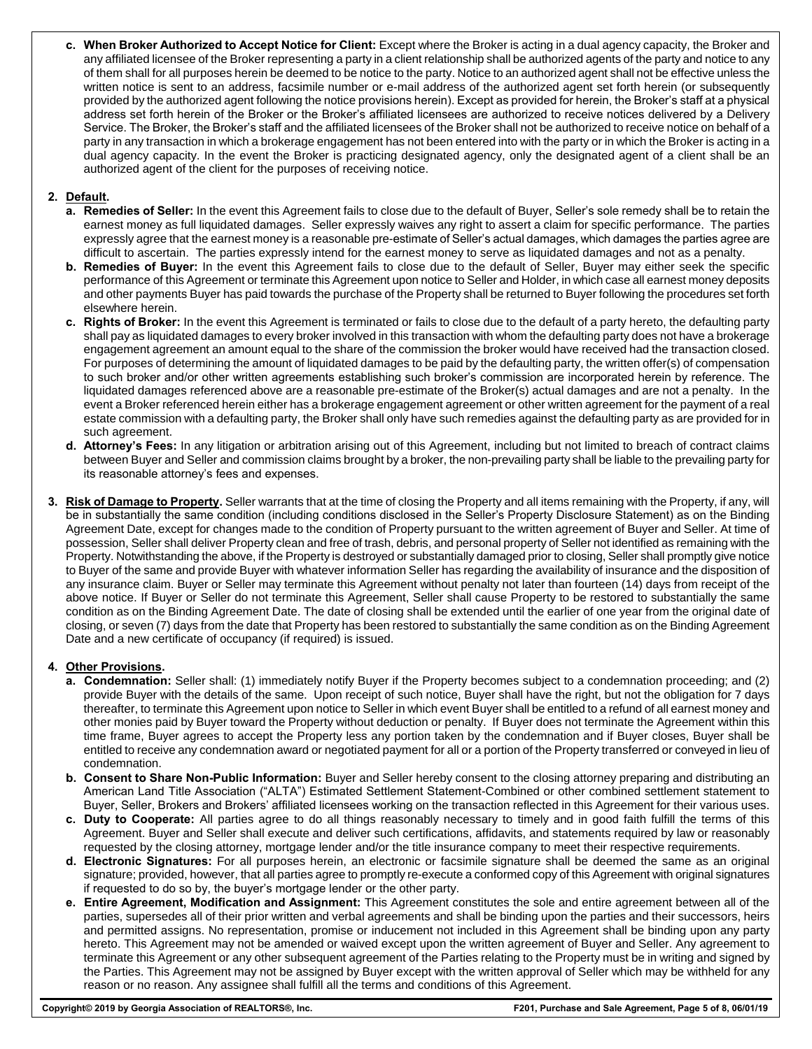**c. When Broker Authorized to Accept Notice for Client:** Except where the Broker is acting in a dual agency capacity, the Broker and any affiliated licensee of the Broker representing a party in a client relationship shall be authorized agents of the party and notice to any of them shall for all purposes herein be deemed to be notice to the party. Notice to an authorized agent shall not be effective unless the written notice is sent to an address, facsimile number or e-mail address of the authorized agent set forth herein (or subsequently provided by the authorized agent following the notice provisions herein). Except as provided for herein, the Broker's staff at a physical address set forth herein of the Broker or the Broker's affiliated licensees are authorized to receive notices delivered by a Delivery Service. The Broker, the Broker's staff and the affiliated licensees of the Broker shall not be authorized to receive notice on behalf of a party in any transaction in which a brokerage engagement has not been entered into with the party or in which the Broker is acting in a dual agency capacity. In the event the Broker is practicing designated agency, only the designated agent of a client shall be an authorized agent of the client for the purposes of receiving notice.

# **2. Default.**

- **a. Remedies of Seller:** In the event this Agreement fails to close due to the default of Buyer, Seller's sole remedy shall be to retain the earnest money as full liquidated damages. Seller expressly waives any right to assert a claim for specific performance. The parties expressly agree that the earnest money is a reasonable pre-estimate of Seller's actual damages, which damages the parties agree are difficult to ascertain. The parties expressly intend for the earnest money to serve as liquidated damages and not as a penalty.
- **b. Remedies of Buyer:** In the event this Agreement fails to close due to the default of Seller, Buyer may either seek the specific performance of this Agreement or terminate this Agreement upon notice to Seller and Holder, in which case all earnest money deposits and other payments Buyer has paid towards the purchase of the Property shall be returned to Buyer following the procedures set forth elsewhere herein.
- **c. Rights of Broker:** In the event this Agreement is terminated or fails to close due to the default of a party hereto, the defaulting party shall pay as liquidated damages to every broker involved in this transaction with whom the defaulting party does not have a brokerage engagement agreement an amount equal to the share of the commission the broker would have received had the transaction closed. For purposes of determining the amount of liquidated damages to be paid by the defaulting party, the written offer(s) of compensation to such broker and/or other written agreements establishing such broker's commission are incorporated herein by reference. The liquidated damages referenced above are a reasonable pre-estimate of the Broker(s) actual damages and are not a penalty. In the event a Broker referenced herein either has a brokerage engagement agreement or other written agreement for the payment of a real estate commission with a defaulting party, the Broker shall only have such remedies against the defaulting party as are provided for in such agreement.
- **d. Attorney's Fees:** In any litigation or arbitration arising out of this Agreement, including but not limited to breach of contract claims between Buyer and Seller and commission claims brought by a broker, the non-prevailing party shall be liable to the prevailing party for its reasonable attorney's fees and expenses.
- **3. Risk of Damage to Property.** Seller warrants that at the time of closing the Property and all items remaining with the Property, if any, will be in substantially the same condition (including conditions disclosed in the Seller's Property Disclosure Statement) as on the Binding Agreement Date, except for changes made to the condition of Property pursuant to the written agreement of Buyer and Seller. At time of possession, Seller shall deliver Property clean and free of trash, debris, and personal property of Seller not identified as remaining with the Property. Notwithstanding the above, if the Property is destroyed or substantially damaged prior to closing, Seller shall promptly give notice to Buyer of the same and provide Buyer with whatever information Seller has regarding the availability of insurance and the disposition of any insurance claim. Buyer or Seller may terminate this Agreement without penalty not later than fourteen (14) days from receipt of the above notice. If Buyer or Seller do not terminate this Agreement, Seller shall cause Property to be restored to substantially the same condition as on the Binding Agreement Date. The date of closing shall be extended until the earlier of one year from the original date of closing, or seven (7) days from the date that Property has been restored to substantially the same condition as on the Binding Agreement Date and a new certificate of occupancy (if required) is issued.

## **4. Other Provisions.**

- **a. Condemnation:** Seller shall: (1) immediately notify Buyer if the Property becomes subject to a condemnation proceeding; and (2) provide Buyer with the details of the same. Upon receipt of such notice, Buyer shall have the right, but not the obligation for 7 days thereafter, to terminate this Agreement upon notice to Seller in which event Buyer shall be entitled to a refund of all earnest money and other monies paid by Buyer toward the Property without deduction or penalty. If Buyer does not terminate the Agreement within this time frame, Buyer agrees to accept the Property less any portion taken by the condemnation and if Buyer closes, Buyer shall be entitled to receive any condemnation award or negotiated payment for all or a portion of the Property transferred or conveyed in lieu of condemnation.
- **b. Consent to Share Non-Public Information:** Buyer and Seller hereby consent to the closing attorney preparing and distributing an American Land Title Association ("ALTA") Estimated Settlement Statement-Combined or other combined settlement statement to Buyer, Seller, Brokers and Brokers' affiliated licensees working on the transaction reflected in this Agreement for their various uses.
- **c. Duty to Cooperate:** All parties agree to do all things reasonably necessary to timely and in good faith fulfill the terms of this Agreement. Buyer and Seller shall execute and deliver such certifications, affidavits, and statements required by law or reasonably requested by the closing attorney, mortgage lender and/or the title insurance company to meet their respective requirements.
- **d. Electronic Signatures:** For all purposes herein, an electronic or facsimile signature shall be deemed the same as an original signature; provided, however, that all parties agree to promptly re-execute a conformed copy of this Agreement with original signatures if requested to do so by, the buyer's mortgage lender or the other party.
- **e. Entire Agreement, Modification and Assignment:** This Agreement constitutes the sole and entire agreement between all of the parties, supersedes all of their prior written and verbal agreements and shall be binding upon the parties and their successors, heirs and permitted assigns. No representation, promise or inducement not included in this Agreement shall be binding upon any party hereto. This Agreement may not be amended or waived except upon the written agreement of Buyer and Seller. Any agreement to terminate this Agreement or any other subsequent agreement of the Parties relating to the Property must be in writing and signed by the Parties. This Agreement may not be assigned by Buyer except with the written approval of Seller which may be withheld for any reason or no reason. Any assignee shall fulfill all the terms and conditions of this Agreement.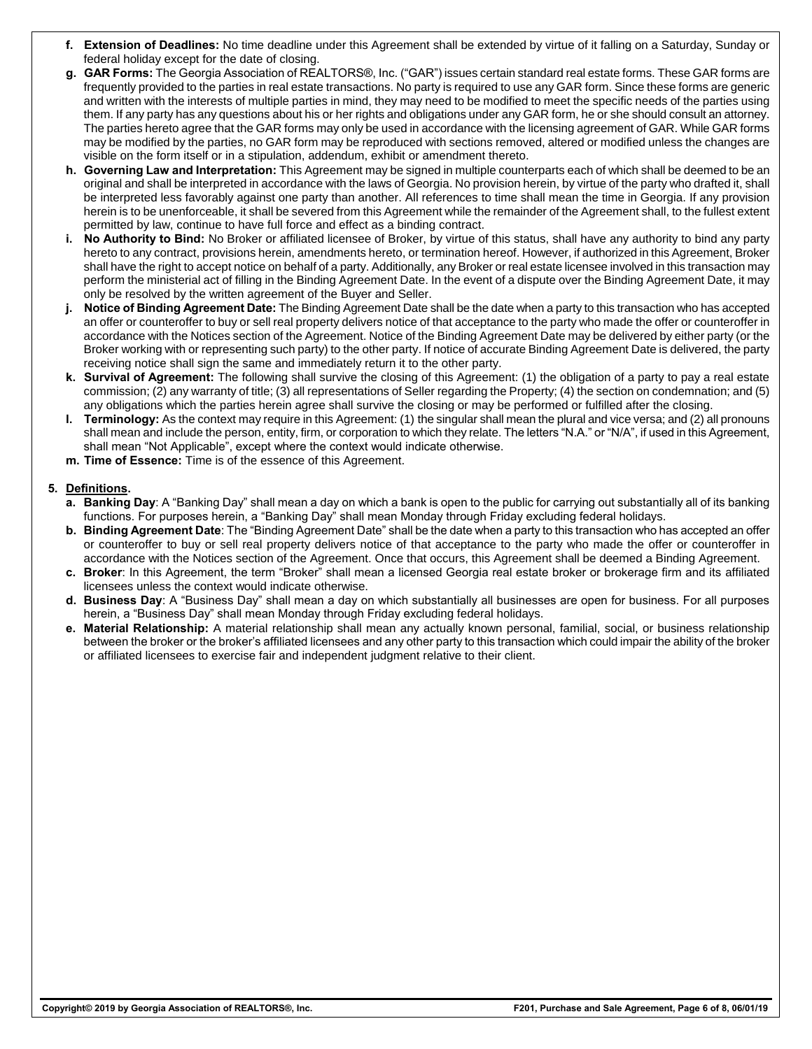- **f. Extension of Deadlines:** No time deadline under this Agreement shall be extended by virtue of it falling on a Saturday, Sunday or federal holiday except for the date of closing.
- **g. GAR Forms:** The Georgia Association of REALTORS®, Inc. ("GAR") issues certain standard real estate forms. These GAR forms are frequently provided to the parties in real estate transactions. No party is required to use any GAR form. Since these forms are generic and written with the interests of multiple parties in mind, they may need to be modified to meet the specific needs of the parties using them. If any party has any questions about his or her rights and obligations under any GAR form, he or she should consult an attorney. The parties hereto agree that the GAR forms may only be used in accordance with the licensing agreement of GAR. While GAR forms may be modified by the parties, no GAR form may be reproduced with sections removed, altered or modified unless the changes are visible on the form itself or in a stipulation, addendum, exhibit or amendment thereto.
- **h. Governing Law and Interpretation:** This Agreement may be signed in multiple counterparts each of which shall be deemed to be an original and shall be interpreted in accordance with the laws of Georgia. No provision herein, by virtue of the party who drafted it, shall be interpreted less favorably against one party than another. All references to time shall mean the time in Georgia. If any provision herein is to be unenforceable, it shall be severed from this Agreement while the remainder of the Agreement shall, to the fullest extent permitted by law, continue to have full force and effect as a binding contract.
- **i. No Authority to Bind:** No Broker or affiliated licensee of Broker, by virtue of this status, shall have any authority to bind any party hereto to any contract, provisions herein, amendments hereto, or termination hereof. However, if authorized in this Agreement, Broker shall have the right to accept notice on behalf of a party. Additionally, any Broker or real estate licensee involved in this transaction may perform the ministerial act of filling in the Binding Agreement Date. In the event of a dispute over the Binding Agreement Date, it may only be resolved by the written agreement of the Buyer and Seller.
- **j. Notice of Binding Agreement Date:** The Binding Agreement Date shall be the date when a party to this transaction who has accepted an offer or counteroffer to buy or sell real property delivers notice of that acceptance to the party who made the offer or counteroffer in accordance with the Notices section of the Agreement. Notice of the Binding Agreement Date may be delivered by either party (or the Broker working with or representing such party) to the other party. If notice of accurate Binding Agreement Date is delivered, the party receiving notice shall sign the same and immediately return it to the other party.
- **k. Survival of Agreement:** The following shall survive the closing of this Agreement: (1) the obligation of a party to pay a real estate commission; (2) any warranty of title; (3) all representations of Seller regarding the Property; (4) the section on condemnation; and (5) any obligations which the parties herein agree shall survive the closing or may be performed or fulfilled after the closing.
- **l. Terminology:** As the context may require in this Agreement: (1) the singular shall mean the plural and vice versa; and (2) all pronouns shall mean and include the person, entity, firm, or corporation to which they relate. The letters "N.A." or "N/A", if used in this Agreement, shall mean "Not Applicable", except where the context would indicate otherwise.
- **m. Time of Essence:** Time is of the essence of this Agreement.

## **5. Definitions.**

- **a. Banking Day**: A "Banking Day" shall mean a day on which a bank is open to the public for carrying out substantially all of its banking functions. For purposes herein, a "Banking Day" shall mean Monday through Friday excluding federal holidays.
- **b. Binding Agreement Date**: The "Binding Agreement Date" shall be the date when a party to this transaction who has accepted an offer or counteroffer to buy or sell real property delivers notice of that acceptance to the party who made the offer or counteroffer in accordance with the Notices section of the Agreement. Once that occurs, this Agreement shall be deemed a Binding Agreement.
- **c. Broker**: In this Agreement, the term "Broker" shall mean a licensed Georgia real estate broker or brokerage firm and its affiliated licensees unless the context would indicate otherwise.
- **d. Business Day**: A "Business Day" shall mean a day on which substantially all businesses are open for business. For all purposes herein, a "Business Day" shall mean Monday through Friday excluding federal holidays.
- **e. Material Relationship:** A material relationship shall mean any actually known personal, familial, social, or business relationship between the broker or the broker's affiliated licensees and any other party to this transaction which could impair the ability of the broker or affiliated licensees to exercise fair and independent judgment relative to their client.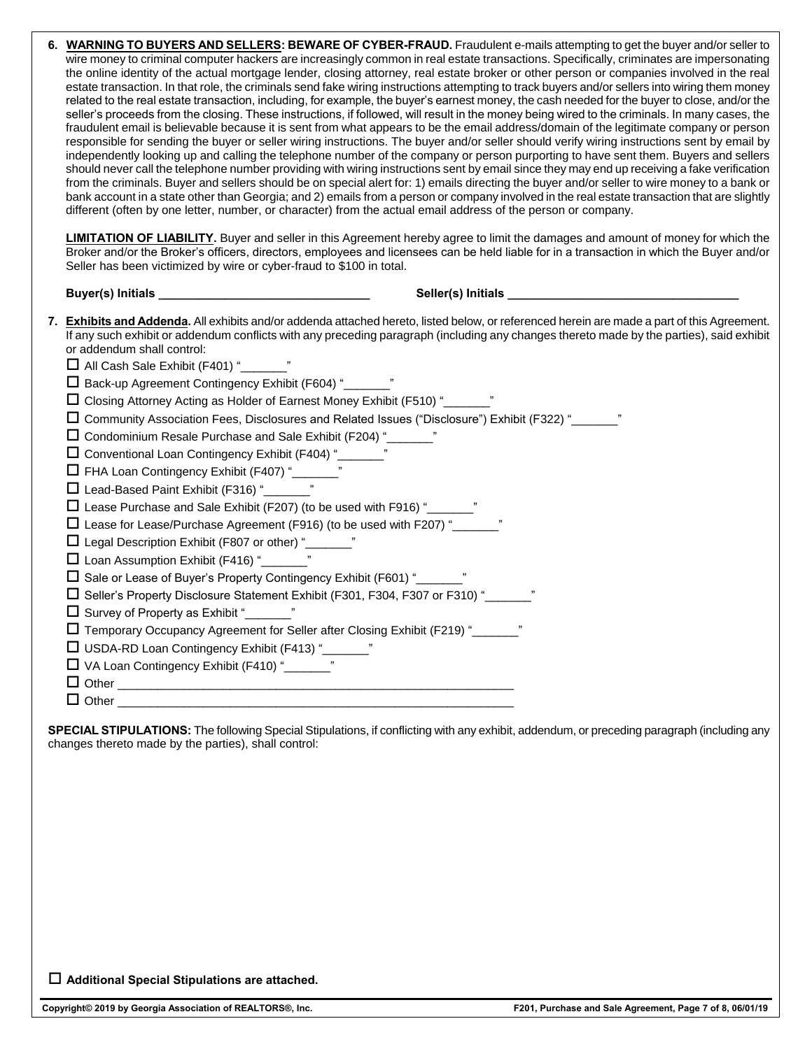| <b>LIMITATION OF LIABILITY.</b> Buyer and seller in this Agreement hereby agree to limit the damages and amount of money for which the                                                                                                                                                                                                                                                                                                                                                                                                                                                                                                                                                                                                                                                                                                                                                                                                                                                                                                                                                                                                                                                                                                                                                                                                                                                                  |  |
|---------------------------------------------------------------------------------------------------------------------------------------------------------------------------------------------------------------------------------------------------------------------------------------------------------------------------------------------------------------------------------------------------------------------------------------------------------------------------------------------------------------------------------------------------------------------------------------------------------------------------------------------------------------------------------------------------------------------------------------------------------------------------------------------------------------------------------------------------------------------------------------------------------------------------------------------------------------------------------------------------------------------------------------------------------------------------------------------------------------------------------------------------------------------------------------------------------------------------------------------------------------------------------------------------------------------------------------------------------------------------------------------------------|--|
| Broker and/or the Broker's officers, directors, employees and licensees can be held liable for in a transaction in which the Buyer and/or<br>Seller has been victimized by wire or cyber-fraud to \$100 in total.                                                                                                                                                                                                                                                                                                                                                                                                                                                                                                                                                                                                                                                                                                                                                                                                                                                                                                                                                                                                                                                                                                                                                                                       |  |
|                                                                                                                                                                                                                                                                                                                                                                                                                                                                                                                                                                                                                                                                                                                                                                                                                                                                                                                                                                                                                                                                                                                                                                                                                                                                                                                                                                                                         |  |
| 7. Exhibits and Addenda. All exhibits and/or addenda attached hereto, listed below, or referenced herein are made a part of this Agreement.<br>If any such exhibit or addendum conflicts with any preceding paragraph (including any changes thereto made by the parties), said exhibit<br>or addendum shall control:<br>All Cash Sale Exhibit (F401) " <b>Marker</b> "<br>□ Closing Attorney Acting as Holder of Earnest Money Exhibit (F510) " <sub>[1000]</sub><br>□ Community Association Fees, Disclosures and Related Issues ("Disclosure") Exhibit (F322) "<br>□ Condominium Resale Purchase and Sale Exhibit (F204) "<br>Lead-Based Paint Exhibit (F316) " <b>Lead-Based Paint Exhibit (F316)</b><br>□ Lease Purchase and Sale Exhibit (F207) (to be used with F916) " <sub>[2071]</sub><br>□ Lease for Lease/Purchase Agreement (F916) (to be used with F207) "<br>□ Legal Description Exhibit (F807 or other) "<br>□<br>$\Box$ Loan Assumption Exhibit (F416) "<br>□ Sale or Lease of Buyer's Property Contingency Exhibit (F601) "<br>□<br>□ Seller's Property Disclosure Statement Exhibit (F301, F304, F307 or F310) "<br>$\Box$ Survey of Property as Exhibit "<br>Temporary Occupancy Agreement for Seller after Closing Exhibit (F219) " <sub>2</sub><br>□ USDA-RD Loan Contingency Exhibit (F413) "     "<br>□ VA Loan Contingency Exhibit (F410) "<br><u> </u><br>$\Box$ Other $\Box$ |  |
| $\Box$ Other $\Box$                                                                                                                                                                                                                                                                                                                                                                                                                                                                                                                                                                                                                                                                                                                                                                                                                                                                                                                                                                                                                                                                                                                                                                                                                                                                                                                                                                                     |  |

**SPECIAL STIPULATIONS:** The following Special Stipulations, if conflicting with any exhibit, addendum, or preceding paragraph (including any changes thereto made by the parties), shall control:

**Additional Special Stipulations are attached.**